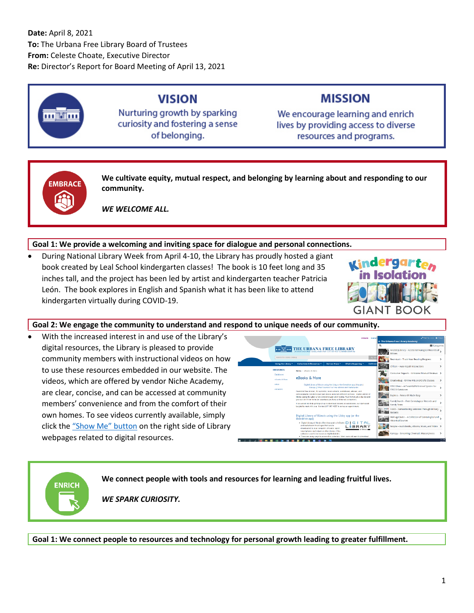

## **VISION**

Nurturing growth by sparking curiosity and fostering a sense of belonging.

# **MISSION**

We encourage learning and enrich lives by providing access to diverse resources and programs.



**ENRICH** 

**We cultivate equity, mutual respect, and belonging by learning about and responding to our community.**

*WE WELCOME ALL.*

## **Goal 1: We provide a welcoming and inviting space for dialogue and personal connections.**

• During National Library Week from April 4-10, the Library has proudly hosted a giant book created by Leal School kindergarten classes! The book is 10 feet long and 35 inches tall, and the project has been led by artist and kindergarten teacher Patricia León. The book explores in English and Spanish what it has been like to attend kindergarten virtually during COVID-19.



#### **Goal 2: We engage the community to understand and respond to unique needs of our community.**

• With the increased interest in and use of the Library's digital resources, the Library is pleased to provide community members with instructional videos on how to use these resources embedded in our website. The videos, which are offered by vendor Niche Academy, are clear, concise, and can be accessed at community members' convenience and from the comfort of their own homes. To see videos currently available, simply click the ["Show Me" button](https://urbanafreelibrary.org/eresources/ebooks-more) on the right side of Library webpages related to digital resources.

|                                |                                                                                                                                                                                                                                                                                                                                               |                 |                    | <b>DONATE</b> Cented |   | Full Screen X Close<br>← The Urbana Free Library Academy                      |                 |
|--------------------------------|-----------------------------------------------------------------------------------------------------------------------------------------------------------------------------------------------------------------------------------------------------------------------------------------------------------------------------------------------|-----------------|--------------------|----------------------|---|-------------------------------------------------------------------------------|-----------------|
|                                |                                                                                                                                                                                                                                                                                                                                               |                 |                    |                      | Q | El Categories                                                                 |                 |
|                                | THE URBANA FREE LIBRARY<br>TO West Creen Breet, Ulbara, KNog 61801, 1:217-367-4057, Lurbanafree/branners                                                                                                                                                                                                                                      |                 |                    |                      |   | AncestryLibrary - Access Genealogical Records of<br><b>ME REGISTER</b>        |                 |
| Search the Library Catalog     |                                                                                                                                                                                                                                                                                                                                               |                 |                    | $\alpha$             |   | Beanstack - Track Your Reading Progress                                       |                 |
| Using the Library              | <b>Collections &amp; Resources *</b>                                                                                                                                                                                                                                                                                                          | Service Areas * | What's Happening * | Get Invol            |   | Chilton - Auto Repair Instructions                                            |                 |
| <b>ERESOURCES</b><br>Databases | Home / eRooks & More                                                                                                                                                                                                                                                                                                                          |                 |                    |                      |   | Consumer Reports - Unbiased Product Reviews >                                 |                 |
| eDooks & More                  | eBooks & More                                                                                                                                                                                                                                                                                                                                 |                 |                    |                      |   | Creativebug - Online Arts and Crafts Classes                                  |                 |
| <b>vGate</b><br>eHoaders.      | Digital Library of Illinois using the Libby or the Overstrive app   Hoopia  <br>Kenopy   Ofhar Sources For Free eRooks and Audiobooks                                                                                                                                                                                                         |                 |                    |                      |   | EBSCOhost - A Powerful Reference System for<br><b>EBSCO Databases</b>         |                 |
|                                | Download free movies. TV episodes, music albums, audiobooks, eBooks, and<br>comics/sraphic nevels to your own dowce using two different services. Digital Library of<br>Illinois (asing the Libby or the Overdrive app) and Hoopla, You'll never get a late lee and<br>you can do it from home (or envelope you have an internet connection). |                 |                    |                      |   | Explora - Research Made Easy                                                  |                 |
|                                | If you would like help petting set up to download elijocks or audiobooks, our staff would<br>be alad to meet with you. Contact 217-367-4057 to set up an appointment.                                                                                                                                                                         |                 |                    |                      |   | FamilySearch - Free Genealogical Records and<br><b>Cod</b> Family Trees       |                 |
|                                |                                                                                                                                                                                                                                                                                                                                               |                 |                    |                      |   | 1005 Fold3 - Remembering Veterans Through Military<br>Records                 |                 |
|                                | Digital Library of Illinois using the Libby app (or the<br>Overdrive app)                                                                                                                                                                                                                                                                     |                 |                    |                      |   | HeritageQuest - A Collection of Genealogical and<br><b>Historical Sources</b> |                 |
|                                | . Digital Library of Illinois offers thousands of eBooks.<br>and audichooks for all ages that can be<br>downloaded to your computer, eHeader, tablet,                                                                                                                                                                                         |                 | D<br><b>BRARY</b>  |                      |   | hoopla - Audiobooks, eBooks, Music, and Video >                               |                 |
|                                | smart phone, mp3 player or ethor device. (This<br>collection used to be known as MyMediaMell 3<br>. There are many ways to access this collection. Most users will went to download                                                                                                                                                           |                 |                    |                      |   | Kanopy - Streaming Cinematic Masterpieces                                     |                 |
|                                |                                                                                                                                                                                                                                                                                                                                               |                 |                    |                      |   |                                                                               | 20104<br>or and |

**We connect people with tools and resources for learning and leading fruitful lives.**

*WE SPARK CURIOSITY.*

**Goal 1: We connect people to resources and technology for personal growth leading to greater fulfillment.**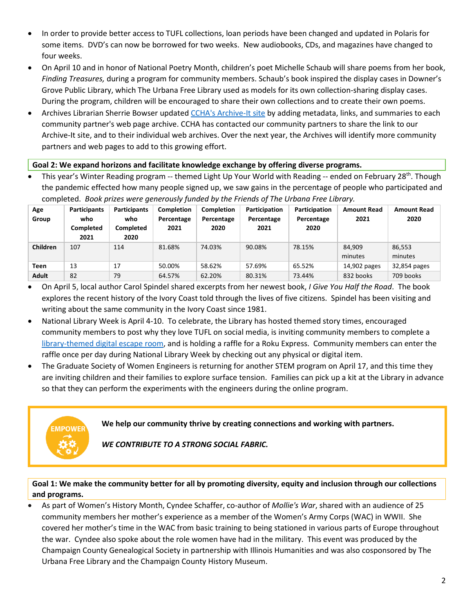- In order to provide better access to TUFL collections, loan periods have been changed and updated in Polaris for some items. DVD's can now be borrowed for two weeks. New audiobooks, CDs, and magazines have changed to four weeks.
- On April 10 and in honor of National Poetry Month, children's poet Michelle Schaub will share poems from her book, *Finding Treasures,* during a program for community members. Schaub's book inspired the display cases in Downer's Grove Public Library, which The Urbana Free Library used as models for its own collection-sharing display cases. During the program, children will be encouraged to share their own collections and to create their own poems.
- Archives Librarian Sherrie Bowser updated [CCHA's Archive-It site](https://archive-it.org/collections/9555) by adding metadata, links, and summaries to each community partner's web page archive. CCHA has contacted our community partners to share the link to our Archive-It site, and to their individual web archives. Over the next year, the Archives will identify more community partners and web pages to add to this growing effort.

#### **Goal 2: We expand horizons and facilitate knowledge exchange by offering diverse programs.**

This year's Winter Reading program -- themed Light Up Your World with Reading -- ended on February 28<sup>th</sup>. Though the pandemic effected how many people signed up, we saw gains in the percentage of people who participated and completed. *Book prizes were generously funded by the Friends of The Urbana Free Library.* 

| Age<br>Group    | <b>Participants</b><br>who<br>Completed<br>2021 | <b>Participants</b><br>who<br>Completed<br>2020 | <b>Completion</b><br>Percentage<br>2021 | <b>Completion</b><br>Percentage<br>2020 | Participation<br>Percentage<br>2021 | Participation<br>Percentage<br>2020 | <b>Amount Read</b><br>2021 | <b>Amount Read</b><br>2020 |
|-----------------|-------------------------------------------------|-------------------------------------------------|-----------------------------------------|-----------------------------------------|-------------------------------------|-------------------------------------|----------------------------|----------------------------|
| <b>Children</b> | 107                                             | 114                                             | 81.68%                                  | 74.03%                                  | 90.08%                              | 78.15%                              | 84.909<br>minutes          | 86,553<br>minutes          |
| <b>Teen</b>     | 13                                              | 17                                              | 50.00%                                  | 58.62%                                  | 57.69%                              | 65.52%                              | 14,902 pages               | 32,854 pages               |
| <b>Adult</b>    | 82                                              | 79                                              | 64.57%                                  | 62.20%                                  | 80.31%                              | 73.44%                              | 832 books                  | 709 books                  |

- On April 5, local author Carol Spindel shared excerpts from her newest book, *I Give You Half the Road*. The book explores the recent history of the Ivory Coast told through the lives of five citizens. Spindel has been visiting and writing about the same community in the Ivory Coast since 1981.
- National Library Week is April 4-10. To celebrate, the Library has hosted themed story times, encouraged community members to post why they love TUFL on social media, is inviting community members to complete a [library-themed digital escape room,](https://docs.google.com/forms/d/e/1FAIpQLSc-lWlrRIjeswwJANDQjUcA07QCsWStIepaoH_5x5nb6WwC0A/viewform) and is holding a raffle for a Roku Express. Community members can enter the raffle once per day during National Library Week by checking out any physical or digital item.
- The Graduate Society of Women Engineers is returning for another STEM program on April 17, and this time they are inviting children and their families to explore surface tension. Families can pick up a kit at the Library in advance so that they can perform the experiments with the engineers during the online program.

**We help our community thrive by creating connections and working with partners.**

*WE CONTRIBUTE TO A STRONG SOCIAL FABRIC.*

**EMPOWE** 

#### **Goal 1: We make the community better for all by promoting diversity, equity and inclusion through our collections and programs.**

• As part of Women's History Month, Cyndee Schaffer, co-author of *Mollie's War*, shared with an audience of 25 community members her mother's experience as a member of the Women's Army Corps (WAC) in WWII. She covered her mother's time in the WAC from basic training to being stationed in various parts of Europe throughout the war. Cyndee also spoke about the role women have had in the military. This event was produced by the Champaign County Genealogical Society in partnership with Illinois Humanities and was also cosponsored by The Urbana Free Library and the Champaign County History Museum.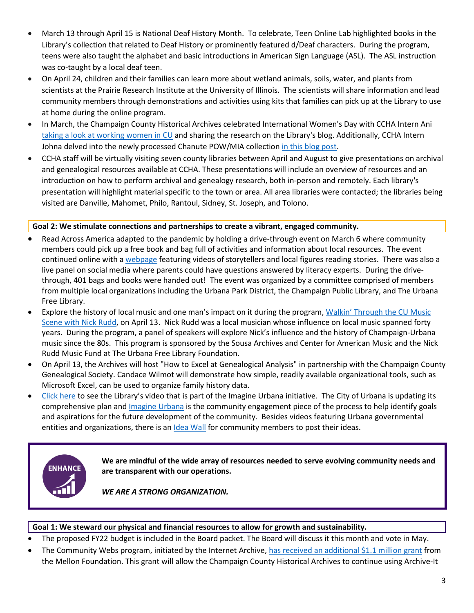- March 13 through April 15 is National Deaf History Month. To celebrate, Teen Online Lab highlighted books in the Library's collection that related to Deaf History or prominently featured d/Deaf characters. During the program, teens were also taught the alphabet and basic introductions in American Sign Language (ASL). The ASL instruction was co-taught by a local deaf teen.
- On April 24, children and their families can learn more about wetland animals, soils, water, and plants from scientists at the Prairie Research Institute at the University of Illinois. The scientists will share information and lead community members through demonstrations and activities using kits that families can pick up at the Library to use at home during the online program.
- In March, the Champaign County Historical Archives celebrated International Women's Day with CCHA Intern Ani [taking a look at working women in CU](https://urbanafreelibrary.org/blogs/2021/03/19/international-womens-day-look-working-women-cu) and sharing the research on the Library's blog. Additionally, CCHA Intern Johna delved into the newly processed Chanute POW/MIA collection [in this blog post.](https://urbanafreelibrary.org/blogs/2021/03/19/look-inside-chanute-powmia-collection)
- CCHA staff will be virtually visiting seven county libraries between April and August to give presentations on archival and genealogical resources available at CCHA. These presentations will include an overview of resources and an introduction on how to perform archival and genealogy research, both in-person and remotely. Each library's presentation will highlight material specific to the town or area. All area libraries were contacted; the libraries being visited are Danville, Mahomet, Philo, Rantoul, Sidney, St. Joseph, and Tolono.

#### **Goal 2: We stimulate connections and partnerships to create a vibrant, engaged community.**

- Read Across America adapted to the pandemic by holding a drive-through event on March 6 where community members could pick up a free book and bag full of activities and information about local resources. The event continued online with a [webpage](https://www.raacu.org/) featuring videos of storytellers and local figures reading stories. There was also a live panel on social media where parents could have questions answered by literacy experts. During the drivethrough, 401 bags and books were handed out! The event was organized by a committee comprised of members from multiple local organizations including the Urbana Park District, the Champaign Public Library, and The Urbana Free Library.
- Explore the history of local music and one man's impact on it during the program, [Walkin' Through the CU Music](https://urbanafreelibrary.libnet.info/event/5007778)  [Scene with Nick Rudd,](https://urbanafreelibrary.libnet.info/event/5007778) on April 13. Nick Rudd was a local musician whose influence on local music spanned forty years. During the program, a panel of speakers will explore Nick's influence and the history of Champaign-Urbana music since the 80s. This program is sponsored by the Sousa Archives and Center for American Music and the Nick Rudd Music Fund at The Urbana Free Library Foundation.
- On April 13, the Archives will host "How to Excel at Genealogical Analysis" in partnership with the Champaign County Genealogical Society. Candace Wilmot will demonstrate how simple, readily available organizational tools, such as Microsoft Excel, can be used to organize family history data.
- [Click here](https://imagineurbana.com/civic-videos/widgets/26416/videos/2476) to see the Library's video that is part of the Imagine Urbana initiative. The City of Urbana is updating its comprehensive plan and *Imagine Urbana* is the community engagement piece of the process to help identify goals and aspirations for the future development of the community. Besides videos featuring Urbana governmental entities and organizations, there is an *Idea Wall* for community members to post their ideas.



**We are mindful of the wide array of resources needed to serve evolving community needs and are transparent with our operations.**

*WE ARE A STRONG ORGANIZATION.*

#### **Goal 1: We steward our physical and financial resources to allow for growth and sustainability.**

- The proposed FY22 budget is included in the Board packet. The Board will discuss it this month and vote in May.
- The Community Webs program, initiated by the Internet Archive, [has received an additional \\$1.1 million grant](https://blog.archive.org/2020/12/08/community-webs-program-receives-1130000-andrew-w-mellon-foundation-award-for-a-national-network-of-public-libraries-building-local-history-web-archives/) from the Mellon Foundation. This grant will allow the Champaign County Historical Archives to continue using Archive-It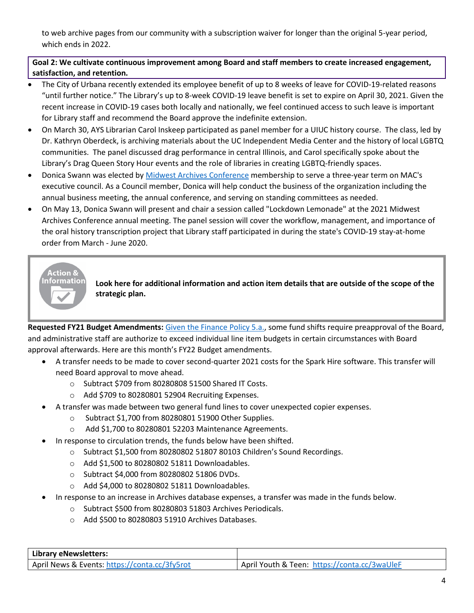to web archive pages from our community with a subscription waiver for longer than the original 5-year period, which ends in 2022.

## **Goal 2: We cultivate continuous improvement among Board and staff members to create increased engagement, satisfaction, and retention.**

- The City of Urbana recently extended its employee benefit of up to 8 weeks of leave for COVID-19-related reasons "until further notice." The Library's up to 8-week COVID-19 leave benefit is set to expire on April 30, 2021. Given the recent increase in COVID-19 cases both locally and nationally, we feel continued access to such leave is important for Library staff and recommend the Board approve the indefinite extension.
- On March 30, AYS Librarian Carol Inskeep participated as panel member for a UIUC history course. The class, led by Dr. Kathryn Oberdeck, is archiving materials about the UC Independent Media Center and the history of local LGBTQ communities. The panel discussed drag performance in central Illinois, and Carol specifically spoke about the Library's Drag Queen Story Hour events and the role of libraries in creating LGBTQ-friendly spaces.
- Donica Swann was elected by [Midwest Archives Conference](https://www.midwestarchives.org/) membership to serve a three-year term on MAC's executive council. As a Council member, Donica will help conduct the business of the organization including the annual business meeting, the annual conference, and serving on standing committees as needed.
- On May 13, Donica Swann will present and chair a session called "Lockdown Lemonade" at the 2021 Midwest Archives Conference annual meeting. The panel session will cover the workflow, management, and importance of the oral history transcription project that Library staff participated in during the state's COVID-19 stay-at-home order from March - June 2020.



**Look here for additional information and action item details that are outside of the scope of the strategic plan.**

**Requested FY21 Budget Amendments:** [Given the Finance Policy 5.a.,](https://urbanafreelibrary.org/sites/default/files/page/attachments/2017/03/I-B%20%20Finance%20March%202017.pdf) some fund shifts require preapproval of the Board, and administrative staff are authorize to exceed individual line item budgets in certain circumstances with Board approval afterwards. Here are this month's FY22 Budget amendments.

- A transfer needs to be made to cover second-quarter 2021 costs for the Spark Hire software. This transfer will need Board approval to move ahead.
	- o Subtract \$709 from 80280808 51500 Shared IT Costs.
	- o Add \$709 to 80280801 52904 Recruiting Expenses.
	- A transfer was made between two general fund lines to cover unexpected copier expenses.
		- o Subtract \$1,700 from 80280801 51900 Other Supplies.
		- o Add \$1,700 to 80280801 52203 Maintenance Agreements.
- In response to circulation trends, the funds below have been shifted.
	- o Subtract \$1,500 from 80280802 51807 80103 Children's Sound Recordings.
	- o Add \$1,500 to 80280802 51811 Downloadables.
	- o Subtract \$4,000 from 80280802 51806 DVDs.
	- o Add \$4,000 to 80280802 51811 Downloadables.
- In response to an increase in Archives database expenses, a transfer was made in the funds below.
	- o Subtract \$500 from 80280803 51803 Archives Periodicals.
	- o Add \$500 to 80280803 51910 Archives Databases.

| Library eNewsletters:                         |                                              |
|-----------------------------------------------|----------------------------------------------|
| April News & Events: https://conta.cc/3fy5rot | April Youth & Teen: https://conta.cc/3waUleF |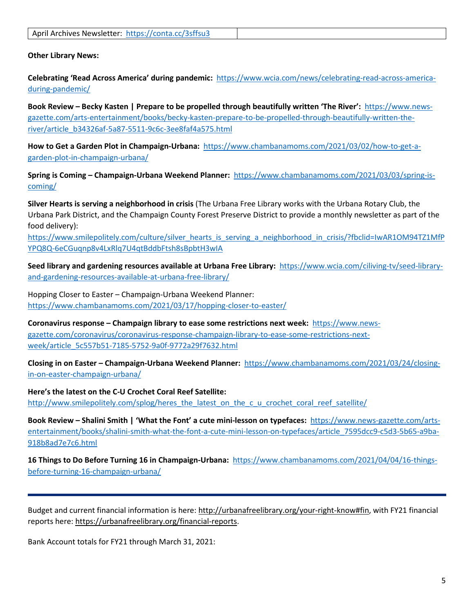**Other Library News:**

**Celebrating 'Read Across America' during pandemic:** [https://www.wcia.com/news/celebrating-read-across-america](https://www.wcia.com/news/celebrating-read-across-america-during-pandemic/)[during-pandemic/](https://www.wcia.com/news/celebrating-read-across-america-during-pandemic/)

**Book Review – Becky Kasten | Prepare to be propelled through beautifully written 'The River':** [https://www.news](https://www.news-gazette.com/arts-entertainment/books/becky-kasten-prepare-to-be-propelled-through-beautifully-written-the-river/article_b34326af-5a87-5511-9c6c-3ee8faf4a575.html)[gazette.com/arts-entertainment/books/becky-kasten-prepare-to-be-propelled-through-beautifully-written-the](https://www.news-gazette.com/arts-entertainment/books/becky-kasten-prepare-to-be-propelled-through-beautifully-written-the-river/article_b34326af-5a87-5511-9c6c-3ee8faf4a575.html)[river/article\\_b34326af-5a87-5511-9c6c-3ee8faf4a575.html](https://www.news-gazette.com/arts-entertainment/books/becky-kasten-prepare-to-be-propelled-through-beautifully-written-the-river/article_b34326af-5a87-5511-9c6c-3ee8faf4a575.html)

**How to Get a Garden Plot in Champaign-Urbana:** [https://www.chambanamoms.com/2021/03/02/how-to-get-a](https://www.chambanamoms.com/2021/03/02/how-to-get-a-garden-plot-in-champaign-urbana/)[garden-plot-in-champaign-urbana/](https://www.chambanamoms.com/2021/03/02/how-to-get-a-garden-plot-in-champaign-urbana/)

**Spring is Coming – Champaign-Urbana Weekend Planner:** [https://www.chambanamoms.com/2021/03/03/spring-is](https://www.chambanamoms.com/2021/03/03/spring-is-coming/)[coming/](https://www.chambanamoms.com/2021/03/03/spring-is-coming/)

**Silver Hearts is serving a neighborhood in crisis** (The Urbana Free Library works with the Urbana Rotary Club, the Urbana Park District, and the Champaign County Forest Preserve District to provide a monthly newsletter as part of the food delivery):

[https://www.smilepolitely.com/culture/silver\\_hearts\\_is\\_serving\\_a\\_neighborhood\\_in\\_crisis/?fbclid=IwAR1OM94TZ1MfP](https://www.smilepolitely.com/culture/silver_hearts_is_serving_a_neighborhood_in_crisis/?fbclid=IwAR1OM94TZ1MfPYPQ8Q-6eCGuqnp8v4LxRlq7U4qtBddbFtsh8sBpbtH3wIA) [YPQ8Q-6eCGuqnp8v4LxRlq7U4qtBddbFtsh8sBpbtH3wIA](https://www.smilepolitely.com/culture/silver_hearts_is_serving_a_neighborhood_in_crisis/?fbclid=IwAR1OM94TZ1MfPYPQ8Q-6eCGuqnp8v4LxRlq7U4qtBddbFtsh8sBpbtH3wIA)

**Seed library and gardening resources available at Urbana Free Library:** [https://www.wcia.com/ciliving-tv/seed-library](https://www.wcia.com/ciliving-tv/seed-library-and-gardening-resources-available-at-urbana-free-library/)[and-gardening-resources-available-at-urbana-free-library/](https://www.wcia.com/ciliving-tv/seed-library-and-gardening-resources-available-at-urbana-free-library/)

Hopping Closer to Easter – Champaign-Urbana Weekend Planner: <https://www.chambanamoms.com/2021/03/17/hopping-closer-to-easter/>

**Coronavirus response – Champaign library to ease some restrictions next week:** [https://www.news](https://www.news-gazette.com/coronavirus/coronavirus-response-champaign-library-to-ease-some-restrictions-next-week/article_5c557b51-7185-5752-9a0f-9772a29f7632.html)[gazette.com/coronavirus/coronavirus-response-champaign-library-to-ease-some-restrictions-next](https://www.news-gazette.com/coronavirus/coronavirus-response-champaign-library-to-ease-some-restrictions-next-week/article_5c557b51-7185-5752-9a0f-9772a29f7632.html)[week/article\\_5c557b51-7185-5752-9a0f-9772a29f7632.html](https://www.news-gazette.com/coronavirus/coronavirus-response-champaign-library-to-ease-some-restrictions-next-week/article_5c557b51-7185-5752-9a0f-9772a29f7632.html)

**Closing in on Easter – Champaign-Urbana Weekend Planner:** [https://www.chambanamoms.com/2021/03/24/closing](https://www.chambanamoms.com/2021/03/24/closing-in-on-easter-champaign-urbana/)[in-on-easter-champaign-urbana/](https://www.chambanamoms.com/2021/03/24/closing-in-on-easter-champaign-urbana/)

**Here's the latest on the C-U Crochet Coral Reef Satellite:** [http://www.smilepolitely.com/splog/heres\\_the\\_latest\\_on\\_the\\_c\\_u\\_crochet\\_coral\\_reef\\_satellite/](http://www.smilepolitely.com/splog/heres_the_latest_on_the_c_u_crochet_coral_reef_satellite/)

**Book Review – Shalini Smith | 'What the Font' a cute mini-lesson on typefaces:** [https://www.news-gazette.com/arts](https://www.news-gazette.com/arts-entertainment/books/shalini-smith-what-the-font-a-cute-mini-lesson-on-typefaces/article_7595dcc9-c5d3-5b65-a9ba-918b8ad7e7c6.html)[entertainment/books/shalini-smith-what-the-font-a-cute-mini-lesson-on-typefaces/article\\_7595dcc9-c5d3-5b65-a9ba-](https://www.news-gazette.com/arts-entertainment/books/shalini-smith-what-the-font-a-cute-mini-lesson-on-typefaces/article_7595dcc9-c5d3-5b65-a9ba-918b8ad7e7c6.html)[918b8ad7e7c6.html](https://www.news-gazette.com/arts-entertainment/books/shalini-smith-what-the-font-a-cute-mini-lesson-on-typefaces/article_7595dcc9-c5d3-5b65-a9ba-918b8ad7e7c6.html)

**16 Things to Do Before Turning 16 in Champaign-Urbana:** [https://www.chambanamoms.com/2021/04/04/16-things](https://www.chambanamoms.com/2021/04/04/16-things-before-turning-16-champaign-urbana/)[before-turning-16-champaign-urbana/](https://www.chambanamoms.com/2021/04/04/16-things-before-turning-16-champaign-urbana/)

Budget and current financial information is here: [http://urbanafreelibrary.org/your-right-know#fin,](http://urbanafreelibrary.org/your-right-know#fin) with FY21 financial reports here: [https://urbanafreelibrary.org/financial-reports.](https://urbanafreelibrary.org/financial-reports)

Bank Account totals for FY21 through March 31, 2021: